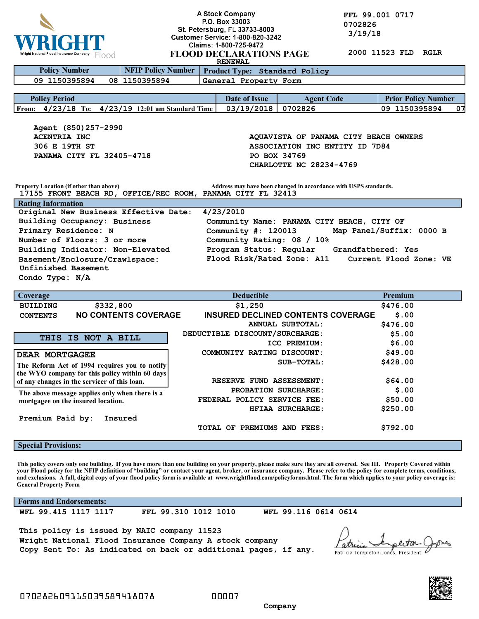

**A Stock Company**<br> **P.O. Box 33003**<br> **P.O. Box 33003**<br> **COLLY AT OT 0702826 1702826**<br>**1803** 1914 1945 1950 1951 1954 1965 1970<br>1911 1914 19 **1 TTT** Customer Service: 1-800-820-3242 3/19/18

| Wright National Flood Insurance Company                                                                                                                                           |                                                            | Claims: 1-800-725-9472<br>2000 11523 FLD<br>RGLR |                                           |                            |  |
|-----------------------------------------------------------------------------------------------------------------------------------------------------------------------------------|------------------------------------------------------------|--------------------------------------------------|-------------------------------------------|----------------------------|--|
| <b>FLOOD DECLARATIONS PAGE</b><br>Flood<br><b>RENEWAL</b>                                                                                                                         |                                                            |                                                  |                                           |                            |  |
| <b>Policy Number</b>                                                                                                                                                              | <b>NFIP Policy Number</b><br>Product Type: Standard Policy |                                                  |                                           |                            |  |
| General Property Form<br>08 1150395894<br>09 1150395894                                                                                                                           |                                                            |                                                  |                                           |                            |  |
| <b>Policy Period</b>                                                                                                                                                              |                                                            | Date of Issue                                    | <b>Agent Code</b>                         | <b>Prior Policy Number</b> |  |
| From: 4/23/18 To: 4/23/19 12:01 am Standard Time                                                                                                                                  |                                                            | 03/19/2018                                       | 0702826                                   | 09 1150395894<br>07        |  |
|                                                                                                                                                                                   |                                                            |                                                  |                                           |                            |  |
| Agent (850) 257-2990                                                                                                                                                              |                                                            |                                                  |                                           |                            |  |
| <b>ACENTRIA INC</b><br>AQUAVISTA OF PANAMA CITY BEACH OWNERS                                                                                                                      |                                                            |                                                  |                                           |                            |  |
| 306 E 19TH ST<br>ASSOCIATION INC ENTITY ID 7D84                                                                                                                                   |                                                            |                                                  |                                           |                            |  |
| PANAMA CITY FL 32405-4718<br>PO BOX 34769                                                                                                                                         |                                                            |                                                  |                                           |                            |  |
| CHARLOTTE NC 28234-4769                                                                                                                                                           |                                                            |                                                  |                                           |                            |  |
|                                                                                                                                                                                   |                                                            |                                                  |                                           |                            |  |
| <b>Property Location (if other than above)</b><br>Address may have been changed in accordance with USPS standards.<br>17155 FRONT BEACH RD, OFFICE/REC ROOM, PANAMA CITY FL 32413 |                                                            |                                                  |                                           |                            |  |
| <b>Rating Information</b>                                                                                                                                                         |                                                            |                                                  |                                           |                            |  |
| Original New Business Effective Date:<br>4/23/2010                                                                                                                                |                                                            |                                                  |                                           |                            |  |
| Building Occupancy: Business<br>Community Name: PANAMA CITY BEACH, CITY OF                                                                                                        |                                                            |                                                  |                                           |                            |  |
| Map Panel/Suffix: 0000 B<br>Primary Residence: N<br>Community $\#: 120013$                                                                                                        |                                                            |                                                  |                                           |                            |  |
| Number of Floors: 3 or more<br>Community Rating: 08 / 10%                                                                                                                         |                                                            |                                                  |                                           |                            |  |
| Program Status: Regular<br>Building Indicator: Non-Elevated<br>Grandfathered: Yes                                                                                                 |                                                            |                                                  |                                           |                            |  |
| Basement/Enclosure/Crawlspace:                                                                                                                                                    |                                                            | Flood Risk/Rated Zone: A11                       |                                           | Current Flood Zone: VE     |  |
| Unfinished Basement                                                                                                                                                               |                                                            |                                                  |                                           |                            |  |
| Condo Type: N/A                                                                                                                                                                   |                                                            |                                                  |                                           |                            |  |
| Coverage                                                                                                                                                                          |                                                            | <b>Deductible</b>                                |                                           | <b>Premium</b>             |  |
| \$332,800<br><b>BUILDING</b>                                                                                                                                                      |                                                            | \$1,250                                          |                                           | \$476.00                   |  |
| <b>NO CONTENTS COVERAGE</b><br><b>CONTENTS</b>                                                                                                                                    |                                                            |                                                  | <b>INSURED DECLINED CONTENTS COVERAGE</b> | \$.00                      |  |
|                                                                                                                                                                                   |                                                            |                                                  | ANNUAL SUBTOTAL:                          | \$476.00                   |  |
| <b>THIS IS NOT A BILL</b>                                                                                                                                                         |                                                            | DEDUCTIBLE DISCOUNT/SURCHARGE:                   |                                           | \$5.00                     |  |
|                                                                                                                                                                                   |                                                            |                                                  | ICC PREMIUM:                              | \$6.00                     |  |
| <b>DEAR MORTGAGEE</b>                                                                                                                                                             |                                                            | COMMUNITY RATING DISCOUNT:                       |                                           | \$49.00                    |  |
| The Reform Act of 1994 requires you to notify                                                                                                                                     |                                                            |                                                  | SUB-TOTAL:                                | \$428.00                   |  |
| the WYO company for this policy within 60 days                                                                                                                                    |                                                            |                                                  |                                           |                            |  |
| of any changes in the servicer of this loan.                                                                                                                                      |                                                            | RESERVE FUND ASSESSMENT:                         |                                           | \$64.00                    |  |
| The above message applies only when there is a                                                                                                                                    |                                                            | \$.00<br>PROBATION SURCHARGE:                    |                                           |                            |  |
| mortgagee on the insured location.                                                                                                                                                |                                                            | FEDERAL POLICY SERVICE FEE:                      |                                           | \$50.00                    |  |
|                                                                                                                                                                                   |                                                            |                                                  | HFIAA SURCHARGE:                          | \$250.00                   |  |
| Premium Paid by:                                                                                                                                                                  | Insured                                                    |                                                  |                                           |                            |  |
|                                                                                                                                                                                   |                                                            | TOTAL OF PREMIUMS AND FEES:                      |                                           | \$792.00                   |  |

**Special Provisions:**

**This policy covers only one building. If you have more than one building on your property, please make sure they are all covered. See III. Property Covered within your Flood policy for the NFIP definition of "building" or contact your agent, broker, or insurance company. Please refer to the policy for complete terms, conditions, and exclusions. A full, digital copy of your flood policy form is available at www.wrightflood.com/policyforms.html. The form which applies to your policy coverage is: General Property Form**

**Forms and Endorsements:**

**WFL 99.415 1117 1117 FFL 99.310 1012 1010 WFL 99.116 0614 0614**

**This policy is issued by NAIC company 11523 Wright National Flood Insurance Company A stock company Copy Sent To: As indicated on back or additional pages, if any.**

Patricia Templeton-Jones, President



 **Company**